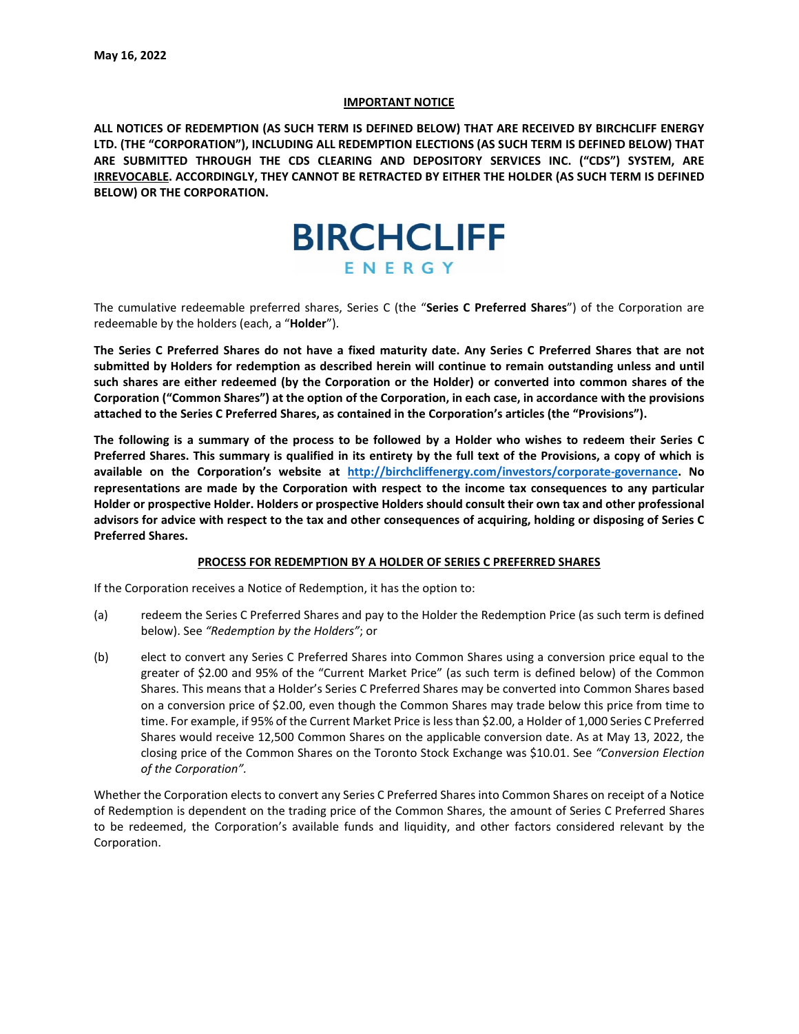#### **IMPORTANT NOTICE**

**ALL NOTICES OF REDEMPTION (AS SUCH TERM IS DEFINED BELOW) THAT ARE RECEIVED BY BIRCHCLIFF ENERGY LTD. (THE "CORPORATION"), INCLUDING ALL REDEMPTION ELECTIONS (AS SUCH TERM IS DEFINED BELOW) THAT ARE SUBMITTED THROUGH THE CDS CLEARING AND DEPOSITORY SERVICES INC. ("CDS") SYSTEM, ARE IRREVOCABLE. ACCORDINGLY, THEY CANNOT BE RETRACTED BY EITHER THE HOLDER (AS SUCH TERM IS DEFINED BELOW) OR THE CORPORATION.**



The cumulative redeemable preferred shares, Series C (the "**Series C Preferred Shares**") of the Corporation are redeemable by the holders (each, a "**Holder**").

**The Series C Preferred Shares do not have a fixed maturity date. Any Series C Preferred Shares that are not submitted by Holders for redemption as described herein will continue to remain outstanding unless and until such shares are either redeemed (by the Corporation or the Holder) or converted into common shares of the Corporation ("Common Shares") at the option of the Corporation, in each case, in accordance with the provisions attached to the Series C Preferred Shares, as contained in the Corporation's articles (the "Provisions").** 

**The following is a summary of the process to be followed by a Holder who wishes to redeem their Series C Preferred Shares. This summary is qualified in its entirety by the full text of the Provisions, a copy of which is available on the Corporation's website at [http://birchcliffenergy.com/investors/corporate-governance.](http://birchcliffenergy.com/investors/corporate-governance) No representations are made by the Corporation with respect to the income tax consequences to any particular Holder or prospective Holder. Holders or prospective Holders should consult their own tax and other professional advisors for advice with respect to the tax and other consequences of acquiring, holding or disposing of Series C Preferred Shares.** 

#### **PROCESS FOR REDEMPTION BY A HOLDER OF SERIES C PREFERRED SHARES**

If the Corporation receives a Notice of Redemption, it has the option to:

- (a) redeem the Series C Preferred Shares and pay to the Holder the Redemption Price (as such term is defined below). See *"Redemption by the Holders"*; or
- (b) elect to convert any Series C Preferred Shares into Common Shares using a conversion price equal to the greater of \$2.00 and 95% of the "Current Market Price" (as such term is defined below) of the Common Shares. This means that a Holder's Series C Preferred Shares may be converted into Common Shares based on a conversion price of \$2.00, even though the Common Shares may trade below this price from time to time. For example, if 95% of the Current Market Price is less than \$2.00, a Holder of 1,000 Series C Preferred Shares would receive 12,500 Common Shares on the applicable conversion date. As at May 13, 2022, the closing price of the Common Shares on the Toronto Stock Exchange was \$10.01. See *"Conversion Election of the Corporation".*

Whether the Corporation elects to convert any Series C Preferred Shares into Common Shares on receipt of a Notice of Redemption is dependent on the trading price of the Common Shares, the amount of Series C Preferred Shares to be redeemed, the Corporation's available funds and liquidity, and other factors considered relevant by the Corporation.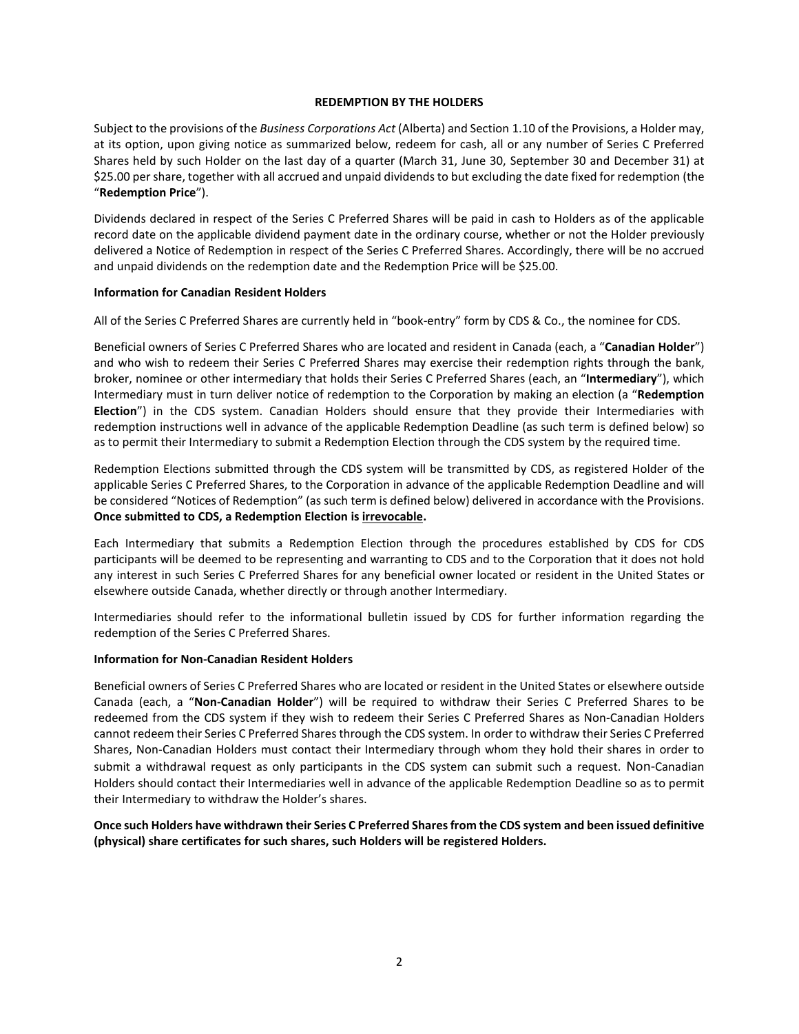## **REDEMPTION BY THE HOLDERS**

Subject to the provisions of the *Business Corporations Act* (Alberta) and Section 1.10 of the Provisions, a Holder may, at its option, upon giving notice as summarized below, redeem for cash, all or any number of Series C Preferred Shares held by such Holder on the last day of a quarter (March 31, June 30, September 30 and December 31) at \$25.00 per share, together with all accrued and unpaid dividends to but excluding the date fixed for redemption (the "**Redemption Price**").

Dividends declared in respect of the Series C Preferred Shares will be paid in cash to Holders as of the applicable record date on the applicable dividend payment date in the ordinary course, whether or not the Holder previously delivered a Notice of Redemption in respect of the Series C Preferred Shares. Accordingly, there will be no accrued and unpaid dividends on the redemption date and the Redemption Price will be \$25.00.

# **Information for Canadian Resident Holders**

All of the Series C Preferred Shares are currently held in "book-entry" form by CDS & Co., the nominee for CDS.

Beneficial owners of Series C Preferred Shares who are located and resident in Canada (each, a "**Canadian Holder**") and who wish to redeem their Series C Preferred Shares may exercise their redemption rights through the bank, broker, nominee or other intermediary that holds their Series C Preferred Shares (each, an "**Intermediary**"), which Intermediary must in turn deliver notice of redemption to the Corporation by making an election (a "**Redemption Election**") in the CDS system. Canadian Holders should ensure that they provide their Intermediaries with redemption instructions well in advance of the applicable Redemption Deadline (as such term is defined below) so as to permit their Intermediary to submit a Redemption Election through the CDS system by the required time.

Redemption Elections submitted through the CDS system will be transmitted by CDS, as registered Holder of the applicable Series C Preferred Shares, to the Corporation in advance of the applicable Redemption Deadline and will be considered "Notices of Redemption" (as such term is defined below) delivered in accordance with the Provisions. **Once submitted to CDS, a Redemption Election is irrevocable.**

Each Intermediary that submits a Redemption Election through the procedures established by CDS for CDS participants will be deemed to be representing and warranting to CDS and to the Corporation that it does not hold any interest in such Series C Preferred Shares for any beneficial owner located or resident in the United States or elsewhere outside Canada, whether directly or through another Intermediary.

Intermediaries should refer to the informational bulletin issued by CDS for further information regarding the redemption of the Series C Preferred Shares.

## **Information for Non-Canadian Resident Holders**

Beneficial owners of Series C Preferred Shares who are located or resident in the United States or elsewhere outside Canada (each, a "**Non-Canadian Holder**") will be required to withdraw their Series C Preferred Shares to be redeemed from the CDS system if they wish to redeem their Series C Preferred Shares as Non-Canadian Holders cannot redeem their Series C Preferred Shares through the CDS system. In order to withdraw their Series C Preferred Shares, Non-Canadian Holders must contact their Intermediary through whom they hold their shares in order to submit a withdrawal request as only participants in the CDS system can submit such a request. Non-Canadian Holders should contact their Intermediaries well in advance of the applicable Redemption Deadline so as to permit their Intermediary to withdraw the Holder's shares.

**Once such Holders have withdrawn their Series C Preferred Shares from the CDS system and been issued definitive (physical) share certificates for such shares, such Holders will be registered Holders.**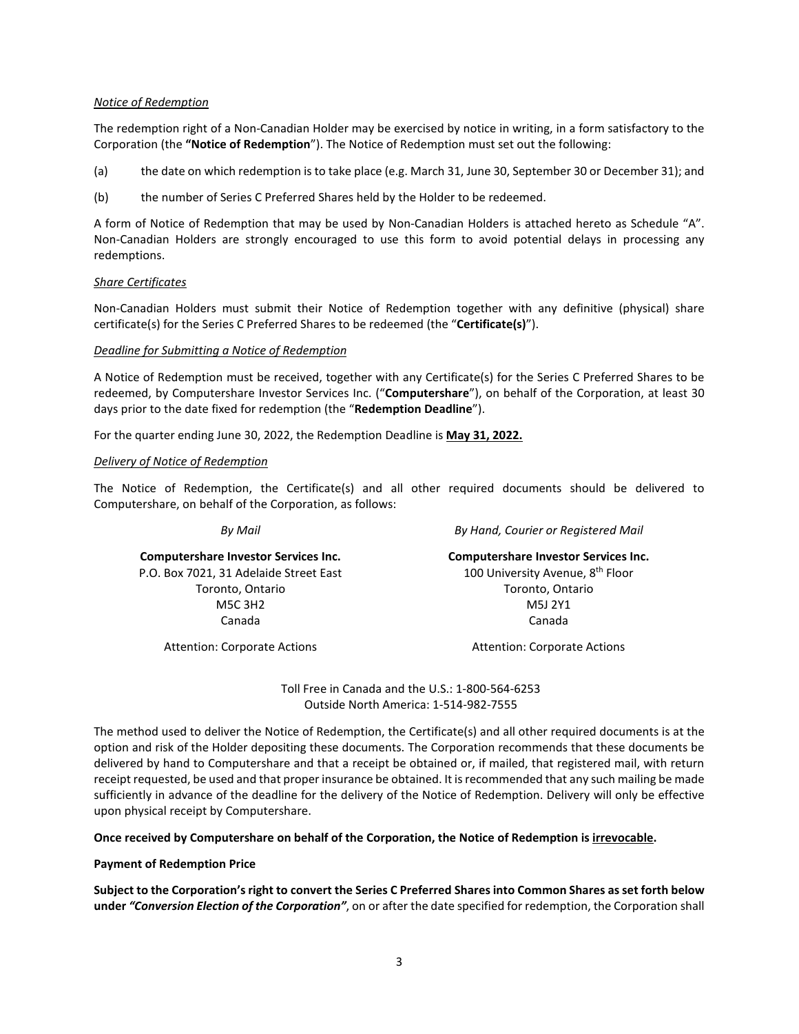## *Notice of Redemption*

The redemption right of a Non-Canadian Holder may be exercised by notice in writing, in a form satisfactory to the Corporation (the **"Notice of Redemption**"). The Notice of Redemption must set out the following:

- (a) the date on which redemption is to take place (e.g. March 31, June 30, September 30 or December 31); and
- (b) the number of Series C Preferred Shares held by the Holder to be redeemed.

A form of Notice of Redemption that may be used by Non-Canadian Holders is attached hereto as Schedule "A". Non-Canadian Holders are strongly encouraged to use this form to avoid potential delays in processing any redemptions.

# *Share Certificates*

Non-Canadian Holders must submit their Notice of Redemption together with any definitive (physical) share certificate(s) for the Series C Preferred Shares to be redeemed (the "**Certificate(s)**").

## *Deadline for Submitting a Notice of Redemption*

A Notice of Redemption must be received, together with any Certificate(s) for the Series C Preferred Shares to be redeemed, by Computershare Investor Services Inc. ("**Computershare**"), on behalf of the Corporation, at least 30 days prior to the date fixed for redemption (the "**Redemption Deadline**").

For the quarter ending June 30, 2022, the Redemption Deadline is **May 31, 2022.**

# *Delivery of Notice of Redemption*

The Notice of Redemption, the Certificate(s) and all other required documents should be delivered to Computershare, on behalf of the Corporation, as follows:

*By Mail*

*By Hand, Courier or Registered Mail*

**Computershare Investor Services Inc.** P.O. Box 7021, 31 Adelaide Street East Toronto, Ontario M5C 3H2 Canada

**Computershare Investor Services Inc.** 100 University Avenue, 8<sup>th</sup> Floor Toronto, Ontario M5J 2Y1 Canada

Attention: Corporate Actions

Attention: Corporate Actions

Toll Free in Canada and the U.S.: 1-800-564-6253 Outside North America: 1-514-982-7555

The method used to deliver the Notice of Redemption, the Certificate(s) and all other required documents is at the option and risk of the Holder depositing these documents. The Corporation recommends that these documents be delivered by hand to Computershare and that a receipt be obtained or, if mailed, that registered mail, with return receipt requested, be used and that proper insurance be obtained. It is recommended that any such mailing be made sufficiently in advance of the deadline for the delivery of the Notice of Redemption. Delivery will only be effective upon physical receipt by Computershare.

**Once received by Computershare on behalf of the Corporation, the Notice of Redemption is irrevocable.**

## **Payment of Redemption Price**

**Subject to the Corporation's right to convert the Series C Preferred Shares into Common Shares as set forth below under** *"Conversion Election of the Corporation"*, on or after the date specified for redemption, the Corporation shall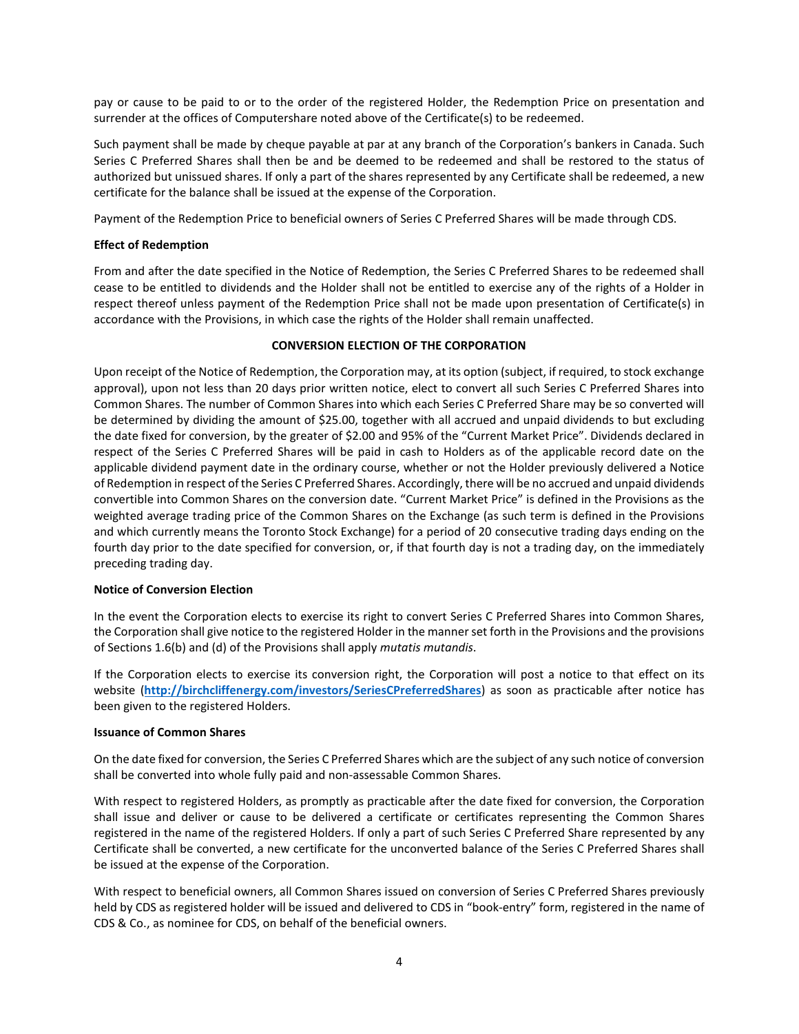pay or cause to be paid to or to the order of the registered Holder, the Redemption Price on presentation and surrender at the offices of Computershare noted above of the Certificate(s) to be redeemed.

Such payment shall be made by cheque payable at par at any branch of the Corporation's bankers in Canada. Such Series C Preferred Shares shall then be and be deemed to be redeemed and shall be restored to the status of authorized but unissued shares. If only a part of the shares represented by any Certificate shall be redeemed, a new certificate for the balance shall be issued at the expense of the Corporation.

Payment of the Redemption Price to beneficial owners of Series C Preferred Shares will be made through CDS.

# **Effect of Redemption**

From and after the date specified in the Notice of Redemption, the Series C Preferred Shares to be redeemed shall cease to be entitled to dividends and the Holder shall not be entitled to exercise any of the rights of a Holder in respect thereof unless payment of the Redemption Price shall not be made upon presentation of Certificate(s) in accordance with the Provisions, in which case the rights of the Holder shall remain unaffected.

# **CONVERSION ELECTION OF THE CORPORATION**

Upon receipt of the Notice of Redemption, the Corporation may, at its option (subject, if required, to stock exchange approval), upon not less than 20 days prior written notice, elect to convert all such Series C Preferred Shares into Common Shares. The number of Common Shares into which each Series C Preferred Share may be so converted will be determined by dividing the amount of \$25.00, together with all accrued and unpaid dividends to but excluding the date fixed for conversion, by the greater of \$2.00 and 95% of the "Current Market Price". Dividends declared in respect of the Series C Preferred Shares will be paid in cash to Holders as of the applicable record date on the applicable dividend payment date in the ordinary course, whether or not the Holder previously delivered a Notice of Redemption in respect of the Series C Preferred Shares. Accordingly, there will be no accrued and unpaid dividends convertible into Common Shares on the conversion date. "Current Market Price" is defined in the Provisions as the weighted average trading price of the Common Shares on the Exchange (as such term is defined in the Provisions and which currently means the Toronto Stock Exchange) for a period of 20 consecutive trading days ending on the fourth day prior to the date specified for conversion, or, if that fourth day is not a trading day, on the immediately preceding trading day.

## **Notice of Conversion Election**

In the event the Corporation elects to exercise its right to convert Series C Preferred Shares into Common Shares, the Corporation shall give notice to the registered Holder in the manner set forth in the Provisions and the provisions of Sections 1.6(b) and (d) of the Provisions shall apply *mutatis mutandis*.

If the Corporation elects to exercise its conversion right, the Corporation will post a notice to that effect on its website (**<http://birchcliffenergy.com/investors/SeriesCPreferredShares>**) as soon as practicable after notice has been given to the registered Holders.

## **Issuance of Common Shares**

On the date fixed for conversion, the Series C Preferred Shares which are the subject of any such notice of conversion shall be converted into whole fully paid and non-assessable Common Shares.

With respect to registered Holders, as promptly as practicable after the date fixed for conversion, the Corporation shall issue and deliver or cause to be delivered a certificate or certificates representing the Common Shares registered in the name of the registered Holders. If only a part of such Series C Preferred Share represented by any Certificate shall be converted, a new certificate for the unconverted balance of the Series C Preferred Shares shall be issued at the expense of the Corporation.

With respect to beneficial owners, all Common Shares issued on conversion of Series C Preferred Shares previously held by CDS as registered holder will be issued and delivered to CDS in "book-entry" form, registered in the name of CDS & Co., as nominee for CDS, on behalf of the beneficial owners.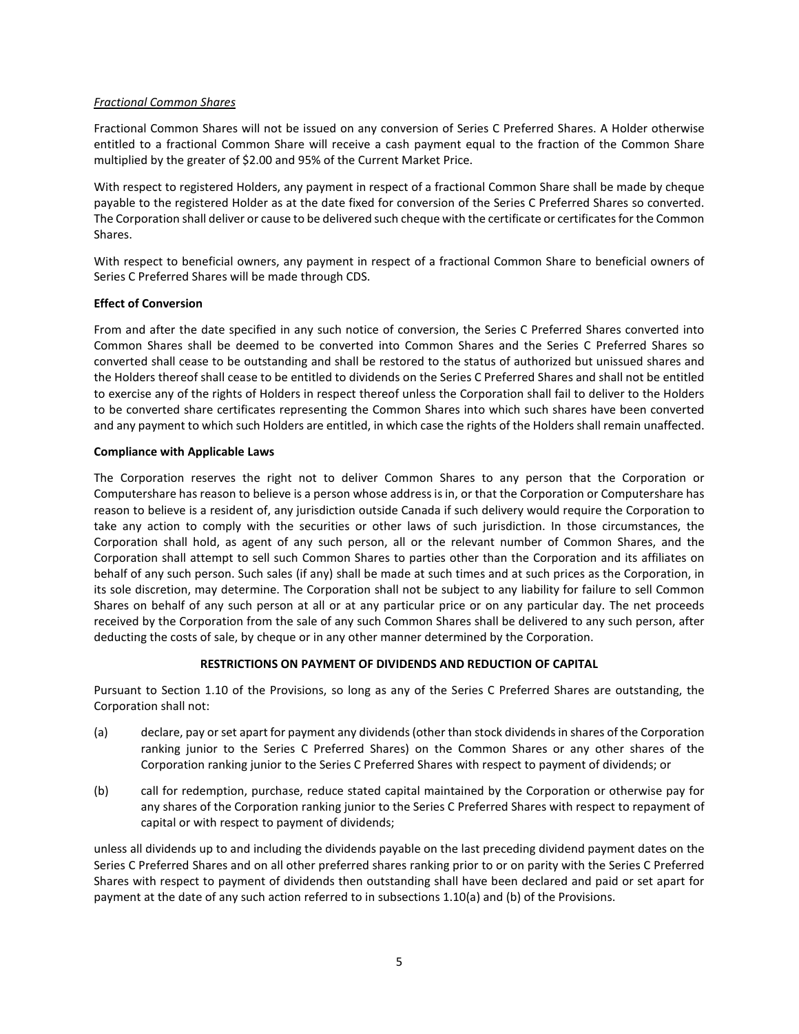## *Fractional Common Shares*

Fractional Common Shares will not be issued on any conversion of Series C Preferred Shares. A Holder otherwise entitled to a fractional Common Share will receive a cash payment equal to the fraction of the Common Share multiplied by the greater of \$2.00 and 95% of the Current Market Price.

With respect to registered Holders, any payment in respect of a fractional Common Share shall be made by cheque payable to the registered Holder as at the date fixed for conversion of the Series C Preferred Shares so converted. The Corporation shall deliver or cause to be delivered such cheque with the certificate or certificates for the Common Shares.

With respect to beneficial owners, any payment in respect of a fractional Common Share to beneficial owners of Series C Preferred Shares will be made through CDS.

# **Effect of Conversion**

From and after the date specified in any such notice of conversion, the Series C Preferred Shares converted into Common Shares shall be deemed to be converted into Common Shares and the Series C Preferred Shares so converted shall cease to be outstanding and shall be restored to the status of authorized but unissued shares and the Holders thereof shall cease to be entitled to dividends on the Series C Preferred Shares and shall not be entitled to exercise any of the rights of Holders in respect thereof unless the Corporation shall fail to deliver to the Holders to be converted share certificates representing the Common Shares into which such shares have been converted and any payment to which such Holders are entitled, in which case the rights of the Holders shall remain unaffected.

## **Compliance with Applicable Laws**

The Corporation reserves the right not to deliver Common Shares to any person that the Corporation or Computershare has reason to believe is a person whose address is in, or that the Corporation or Computershare has reason to believe is a resident of, any jurisdiction outside Canada if such delivery would require the Corporation to take any action to comply with the securities or other laws of such jurisdiction. In those circumstances, the Corporation shall hold, as agent of any such person, all or the relevant number of Common Shares, and the Corporation shall attempt to sell such Common Shares to parties other than the Corporation and its affiliates on behalf of any such person. Such sales (if any) shall be made at such times and at such prices as the Corporation, in its sole discretion, may determine. The Corporation shall not be subject to any liability for failure to sell Common Shares on behalf of any such person at all or at any particular price or on any particular day. The net proceeds received by the Corporation from the sale of any such Common Shares shall be delivered to any such person, after deducting the costs of sale, by cheque or in any other manner determined by the Corporation.

# **RESTRICTIONS ON PAYMENT OF DIVIDENDS AND REDUCTION OF CAPITAL**

Pursuant to Section 1.10 of the Provisions, so long as any of the Series C Preferred Shares are outstanding, the Corporation shall not:

- (a) declare, pay or set apart for payment any dividends (other than stock dividends in shares of the Corporation ranking junior to the Series C Preferred Shares) on the Common Shares or any other shares of the Corporation ranking junior to the Series C Preferred Shares with respect to payment of dividends; or
- (b) call for redemption, purchase, reduce stated capital maintained by the Corporation or otherwise pay for any shares of the Corporation ranking junior to the Series C Preferred Shares with respect to repayment of capital or with respect to payment of dividends;

unless all dividends up to and including the dividends payable on the last preceding dividend payment dates on the Series C Preferred Shares and on all other preferred shares ranking prior to or on parity with the Series C Preferred Shares with respect to payment of dividends then outstanding shall have been declared and paid or set apart for payment at the date of any such action referred to in subsections 1.10(a) and (b) of the Provisions.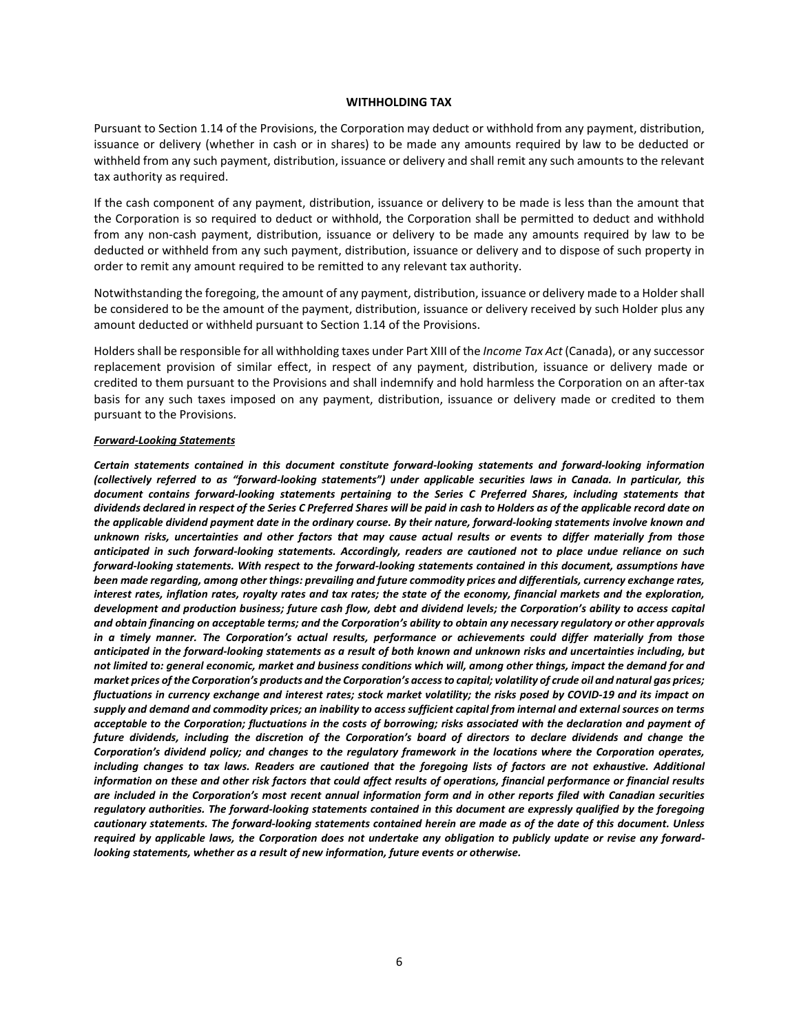#### **WITHHOLDING TAX**

Pursuant to Section 1.14 of the Provisions, the Corporation may deduct or withhold from any payment, distribution, issuance or delivery (whether in cash or in shares) to be made any amounts required by law to be deducted or withheld from any such payment, distribution, issuance or delivery and shall remit any such amounts to the relevant tax authority as required.

If the cash component of any payment, distribution, issuance or delivery to be made is less than the amount that the Corporation is so required to deduct or withhold, the Corporation shall be permitted to deduct and withhold from any non-cash payment, distribution, issuance or delivery to be made any amounts required by law to be deducted or withheld from any such payment, distribution, issuance or delivery and to dispose of such property in order to remit any amount required to be remitted to any relevant tax authority.

Notwithstanding the foregoing, the amount of any payment, distribution, issuance or delivery made to a Holder shall be considered to be the amount of the payment, distribution, issuance or delivery received by such Holder plus any amount deducted or withheld pursuant to Section 1.14 of the Provisions.

Holders shall be responsible for all withholding taxes under Part XIII of the *Income Tax Act* (Canada), or any successor replacement provision of similar effect, in respect of any payment, distribution, issuance or delivery made or credited to them pursuant to the Provisions and shall indemnify and hold harmless the Corporation on an after-tax basis for any such taxes imposed on any payment, distribution, issuance or delivery made or credited to them pursuant to the Provisions.

#### *Forward-Looking Statements*

*Certain statements contained in this document constitute forward-looking statements and forward-looking information (collectively referred to as "forward-looking statements") under applicable securities laws in Canada. In particular, this document contains forward-looking statements pertaining to the Series C Preferred Shares, including statements that dividends declared in respect of the Series C Preferred Shares will be paid in cash to Holders as of the applicable record date on the applicable dividend payment date in the ordinary course. By their nature, forward-looking statements involve known and unknown risks, uncertainties and other factors that may cause actual results or events to differ materially from those anticipated in such forward-looking statements. Accordingly, readers are cautioned not to place undue reliance on such forward-looking statements. With respect to the forward-looking statements contained in this document, assumptions have been made regarding, among other things: prevailing and future commodity prices and differentials, currency exchange rates, interest rates, inflation rates, royalty rates and tax rates; the state of the economy, financial markets and the exploration, development and production business; future cash flow, debt and dividend levels; the Corporation's ability to access capital and obtain financing on acceptable terms; and the Corporation's ability to obtain any necessary regulatory or other approvals in a timely manner. The Corporation's actual results, performance or achievements could differ materially from those anticipated in the forward-looking statements as a result of both known and unknown risks and uncertainties including, but not limited to: general economic, market and business conditions which will, among other things, impact the demand for and market prices of the Corporation's products and the Corporation's access to capital; volatility of crude oil and natural gas prices; fluctuations in currency exchange and interest rates; stock market volatility; the risks posed by COVID-19 and its impact on supply and demand and commodity prices; an inability to access sufficient capital from internal and external sources on terms acceptable to the Corporation; fluctuations in the costs of borrowing; risks associated with the declaration and payment of future dividends, including the discretion of the Corporation's board of directors to declare dividends and change the Corporation's dividend policy; and changes to the regulatory framework in the locations where the Corporation operates,*  including changes to tax laws. Readers are cautioned that the foregoing lists of factors are not exhaustive. Additional *information on these and other risk factors that could affect results of operations, financial performance or financial results are included in the Corporation's most recent annual information form and in other reports filed with Canadian securities regulatory authorities. The forward-looking statements contained in this document are expressly qualified by the foregoing cautionary statements. The forward-looking statements contained herein are made as of the date of this document. Unless required by applicable laws, the Corporation does not undertake any obligation to publicly update or revise any forwardlooking statements, whether as a result of new information, future events or otherwise.*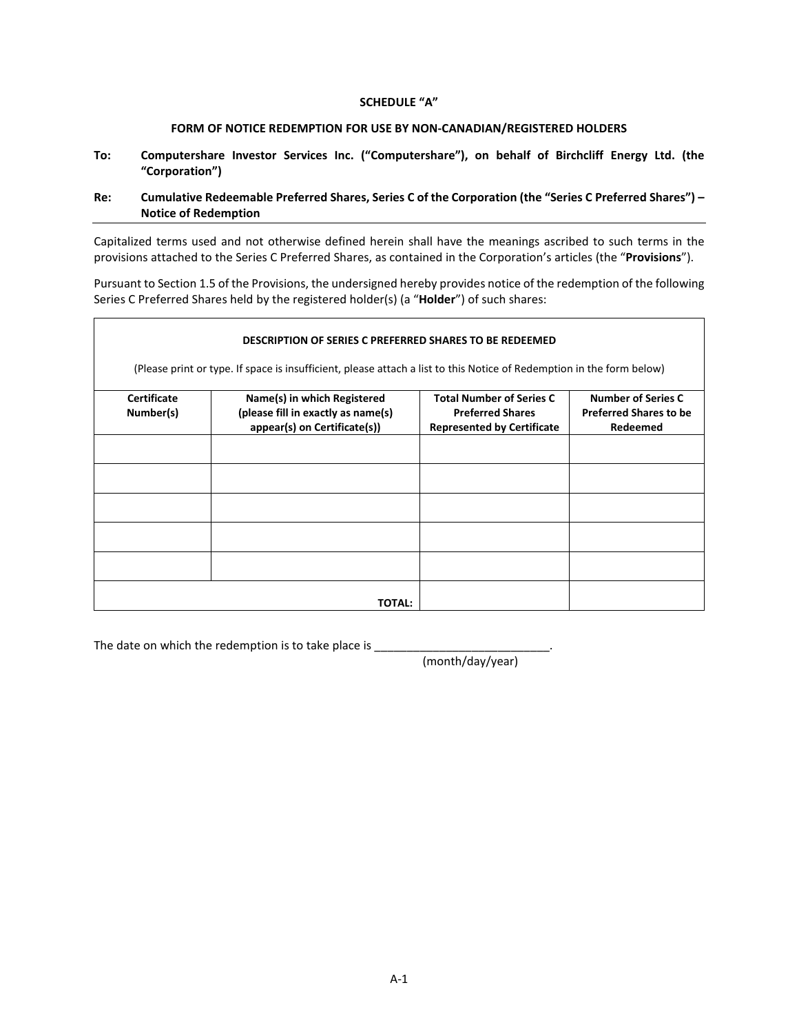# **SCHEDULE "A"**

# **FORM OF NOTICE REDEMPTION FOR USE BY NON-CANADIAN/REGISTERED HOLDERS**

**To: Computershare Investor Services Inc. ("Computershare"), on behalf of Birchcliff Energy Ltd. (the "Corporation")**

# **Re: Cumulative Redeemable Preferred Shares, Series C of the Corporation (the "Series C Preferred Shares") – Notice of Redemption**

Capitalized terms used and not otherwise defined herein shall have the meanings ascribed to such terms in the provisions attached to the Series C Preferred Shares, as contained in the Corporation's articles (the "**Provisions**").

Pursuant to Section 1.5 of the Provisions, the undersigned hereby provides notice of the redemption of the following Series C Preferred Shares held by the registered holder(s) (a "**Holder**") of such shares:

| <b>DESCRIPTION OF SERIES C PREFERRED SHARES TO BE REDEEMED</b><br>(Please print or type. If space is insufficient, please attach a list to this Notice of Redemption in the form below) |                                                                    |                                                              |                                           |  |
|-----------------------------------------------------------------------------------------------------------------------------------------------------------------------------------------|--------------------------------------------------------------------|--------------------------------------------------------------|-------------------------------------------|--|
|                                                                                                                                                                                         |                                                                    |                                                              |                                           |  |
| Number(s)                                                                                                                                                                               | (please fill in exactly as name(s)<br>appear(s) on Certificate(s)) | <b>Preferred Shares</b><br><b>Represented by Certificate</b> | <b>Preferred Shares to be</b><br>Redeemed |  |
|                                                                                                                                                                                         |                                                                    |                                                              |                                           |  |
|                                                                                                                                                                                         |                                                                    |                                                              |                                           |  |
|                                                                                                                                                                                         |                                                                    |                                                              |                                           |  |
|                                                                                                                                                                                         |                                                                    |                                                              |                                           |  |
|                                                                                                                                                                                         |                                                                    |                                                              |                                           |  |
| <b>TOTAL:</b>                                                                                                                                                                           |                                                                    |                                                              |                                           |  |

The date on which the redemption is to take place is \_\_\_\_\_\_\_\_\_\_\_\_\_\_\_\_\_\_\_\_\_\_\_\_\_\_\_\_

(month/day/year)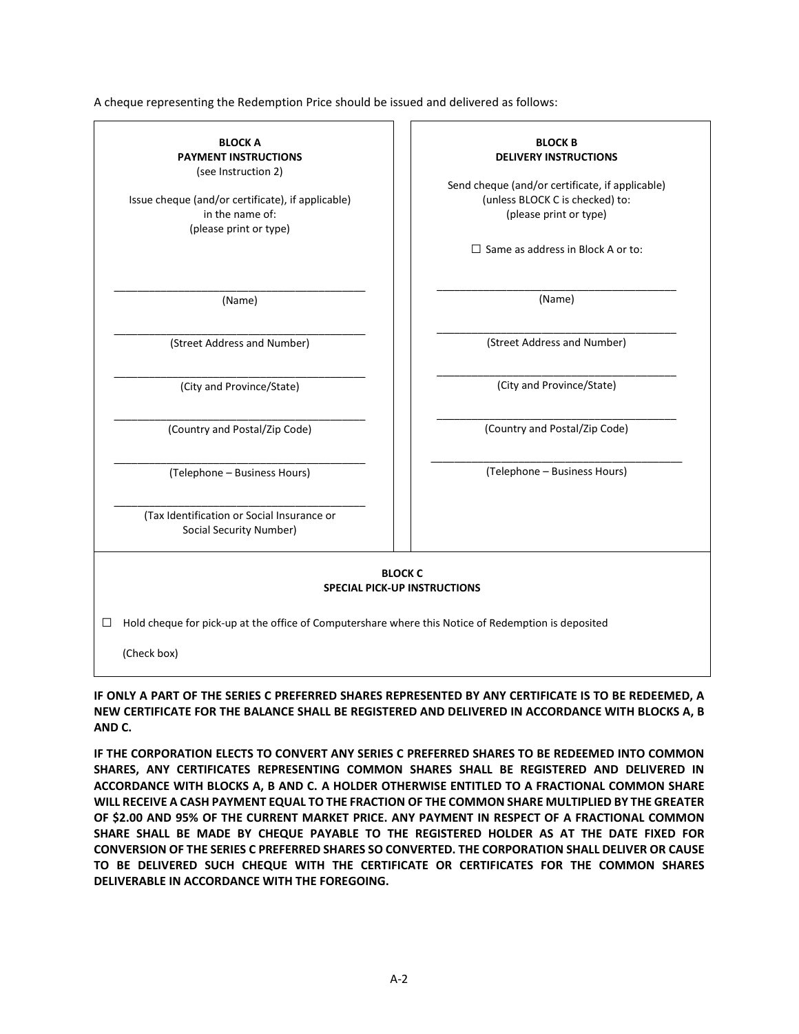A cheque representing the Redemption Price should be issued and delivered as follows:



**IF ONLY A PART OF THE SERIES C PREFERRED SHARES REPRESENTED BY ANY CERTIFICATE IS TO BE REDEEMED, A NEW CERTIFICATE FOR THE BALANCE SHALL BE REGISTERED AND DELIVERED IN ACCORDANCE WITH BLOCKS A, B AND C.**

**IF THE CORPORATION ELECTS TO CONVERT ANY SERIES C PREFERRED SHARES TO BE REDEEMED INTO COMMON SHARES, ANY CERTIFICATES REPRESENTING COMMON SHARES SHALL BE REGISTERED AND DELIVERED IN ACCORDANCE WITH BLOCKS A, B AND C. A HOLDER OTHERWISE ENTITLED TO A FRACTIONAL COMMON SHARE WILL RECEIVE A CASH PAYMENT EQUAL TO THE FRACTION OF THE COMMON SHARE MULTIPLIED BY THE GREATER OF \$2.00 AND 95% OF THE CURRENT MARKET PRICE. ANY PAYMENT IN RESPECT OF A FRACTIONAL COMMON SHARE SHALL BE MADE BY CHEQUE PAYABLE TO THE REGISTERED HOLDER AS AT THE DATE FIXED FOR CONVERSION OF THE SERIES C PREFERRED SHARES SO CONVERTED. THE CORPORATION SHALL DELIVER OR CAUSE TO BE DELIVERED SUCH CHEQUE WITH THE CERTIFICATE OR CERTIFICATES FOR THE COMMON SHARES DELIVERABLE IN ACCORDANCE WITH THE FOREGOING.**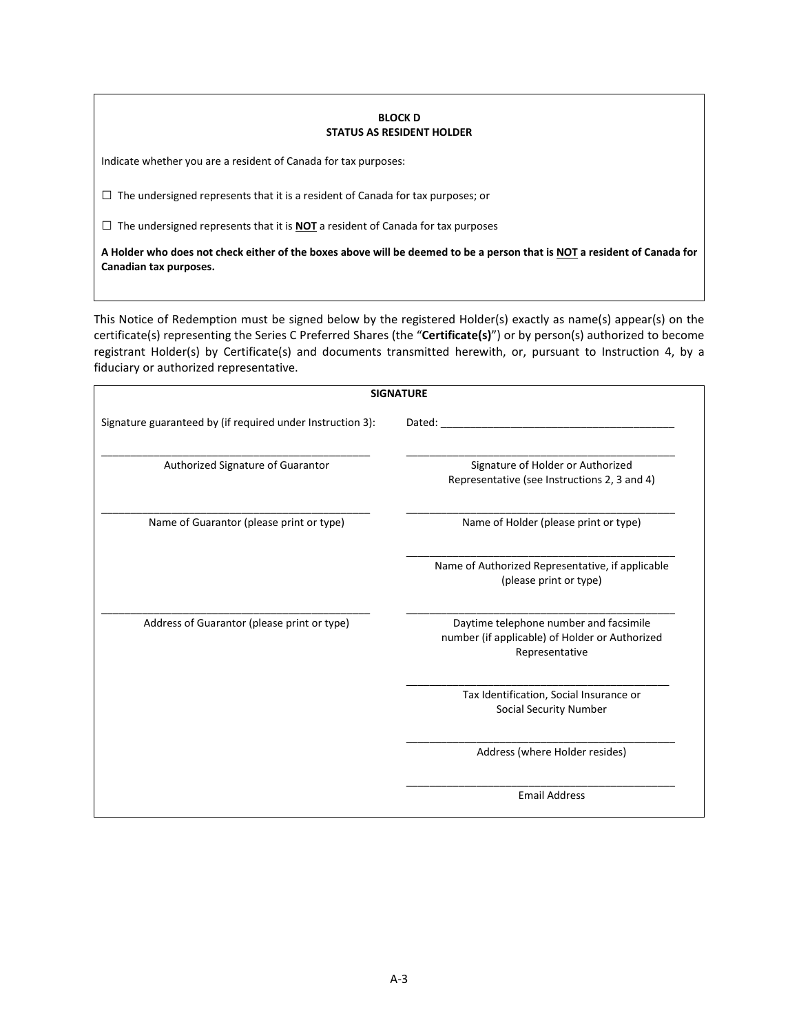#### **BLOCK D STATUS AS RESIDENT HOLDER**

Indicate whether you are a resident of Canada for tax purposes:

 $\square$  The undersigned represents that it is a resident of Canada for tax purposes; or

□ The undersigned represents that it is **NOT** a resident of Canada for tax purposes

**A Holder who does not check either of the boxes above will be deemed to be a person that is NOT a resident of Canada for Canadian tax purposes.** 

This Notice of Redemption must be signed below by the registered Holder(s) exactly as name(s) appear(s) on the certificate(s) representing the Series C Preferred Shares (the "**Certificate(s)**") or by person(s) authorized to become registrant Holder(s) by Certificate(s) and documents transmitted herewith, or, pursuant to Instruction 4, by a fiduciary or authorized representative.

| <b>SIGNATURE</b>                                           |                                                                                                            |  |
|------------------------------------------------------------|------------------------------------------------------------------------------------------------------------|--|
| Signature guaranteed by (if required under Instruction 3): | Dated:                                                                                                     |  |
| Authorized Signature of Guarantor                          | Signature of Holder or Authorized<br>Representative (see Instructions 2, 3 and 4)                          |  |
| Name of Guarantor (please print or type)                   | Name of Holder (please print or type)                                                                      |  |
|                                                            | Name of Authorized Representative, if applicable<br>(please print or type)                                 |  |
| Address of Guarantor (please print or type)                | Daytime telephone number and facsimile<br>number (if applicable) of Holder or Authorized<br>Representative |  |
|                                                            | Tax Identification, Social Insurance or<br><b>Social Security Number</b>                                   |  |
|                                                            | Address (where Holder resides)                                                                             |  |
|                                                            | <b>Email Address</b>                                                                                       |  |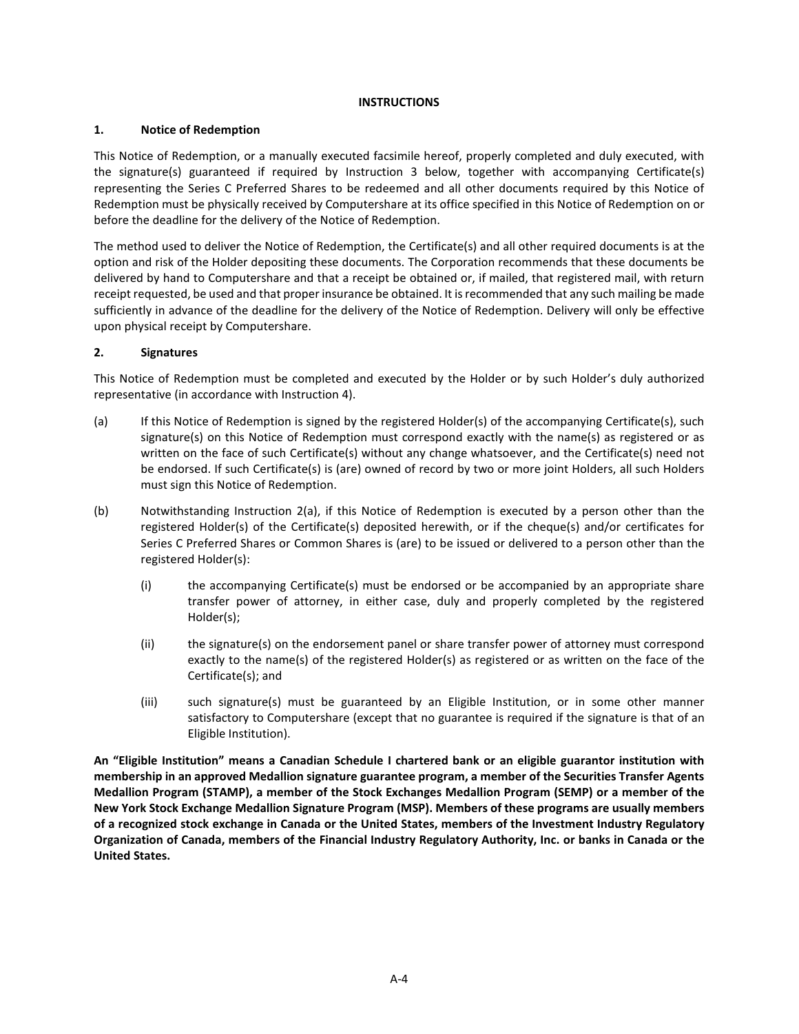# **INSTRUCTIONS**

# **1. Notice of Redemption**

This Notice of Redemption, or a manually executed facsimile hereof, properly completed and duly executed, with the signature(s) guaranteed if required by Instruction 3 below, together with accompanying Certificate(s) representing the Series C Preferred Shares to be redeemed and all other documents required by this Notice of Redemption must be physically received by Computershare at its office specified in this Notice of Redemption on or before the deadline for the delivery of the Notice of Redemption.

The method used to deliver the Notice of Redemption, the Certificate(s) and all other required documents is at the option and risk of the Holder depositing these documents. The Corporation recommends that these documents be delivered by hand to Computershare and that a receipt be obtained or, if mailed, that registered mail, with return receipt requested, be used and that proper insurance be obtained. It is recommended that any such mailing be made sufficiently in advance of the deadline for the delivery of the Notice of Redemption. Delivery will only be effective upon physical receipt by Computershare.

# **2. Signatures**

This Notice of Redemption must be completed and executed by the Holder or by such Holder's duly authorized representative (in accordance with Instruction 4).

- (a) If this Notice of Redemption is signed by the registered Holder(s) of the accompanying Certificate(s), such signature(s) on this Notice of Redemption must correspond exactly with the name(s) as registered or as written on the face of such Certificate(s) without any change whatsoever, and the Certificate(s) need not be endorsed. If such Certificate(s) is (are) owned of record by two or more joint Holders, all such Holders must sign this Notice of Redemption.
- (b) Notwithstanding Instruction 2(a), if this Notice of Redemption is executed by a person other than the registered Holder(s) of the Certificate(s) deposited herewith, or if the cheque(s) and/or certificates for Series C Preferred Shares or Common Shares is (are) to be issued or delivered to a person other than the registered Holder(s):
	- (i) the accompanying Certificate(s) must be endorsed or be accompanied by an appropriate share transfer power of attorney, in either case, duly and properly completed by the registered Holder(s);
	- (ii) the signature(s) on the endorsement panel or share transfer power of attorney must correspond exactly to the name(s) of the registered Holder(s) as registered or as written on the face of the Certificate(s); and
	- (iii) such signature(s) must be guaranteed by an Eligible Institution, or in some other manner satisfactory to Computershare (except that no guarantee is required if the signature is that of an Eligible Institution).

**An "Eligible Institution" means a Canadian Schedule I chartered bank or an eligible guarantor institution with membership in an approved Medallion signature guarantee program, a member of the Securities Transfer Agents Medallion Program (STAMP), a member of the Stock Exchanges Medallion Program (SEMP) or a member of the New York Stock Exchange Medallion Signature Program (MSP). Members of these programs are usually members of a recognized stock exchange in Canada or the United States, members of the Investment Industry Regulatory Organization of Canada, members of the Financial Industry Regulatory Authority, Inc. or banks in Canada or the United States.**